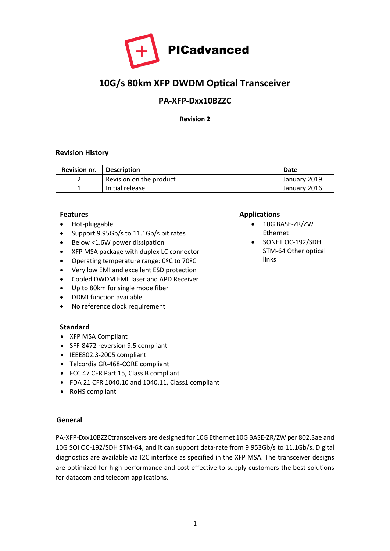

# **10G/s 80km XFP DWDM Optical Transceiver**

# **PA-XFP-Dxx10BZZC**

**Revision 2**

#### **Revision History**

| <b>Revision nr.</b> | Description             | Date         |
|---------------------|-------------------------|--------------|
|                     | Revision on the product | January 2019 |
|                     | Initial release         | January 2016 |

#### **Features**

- Hot-pluggable
- Support 9.95Gb/s to 11.1Gb/s bit rates
- Below <1.6W power dissipation
- XFP MSA package with duplex LC connector
- Operating temperature range: 0ºC to 70ºC
- Very low EMI and excellent ESD protection
- Cooled DWDM EML laser and APD Receiver
- Up to 80km for single mode fiber
- DDMI function available
- No reference clock requirement

#### **Standard**

- XFP MSA Compliant
- SFF-8472 reversion 9.5 compliant
- IEEE802.3-2005 compliant
- Telcordia GR-468-CORE compliant
- FCC 47 CFR Part 15, Class B compliant
- FDA 21 CFR 1040.10 and 1040.11, Class1 compliant
- RoHS compliant

#### **General**

PA-XFP-Dxx10BZZCtransceivers are designed for 10G Ethernet 10G BASE-ZR/ZW per 802.3ae and 10G SOI OC-192/SDH STM-64, and it can support data-rate from 9.953Gb/s to 11.1Gb/s. Digital diagnostics are available via I2C interface as specified in the XFP MSA. The transceiver designs are optimized for high performance and cost effective to supply customers the best solutions for datacom and telecom applications.

#### **Applications**

- 10G BASE-ZR/ZW Ethernet
- SONET OC-192/SDH STM-64 Other optical links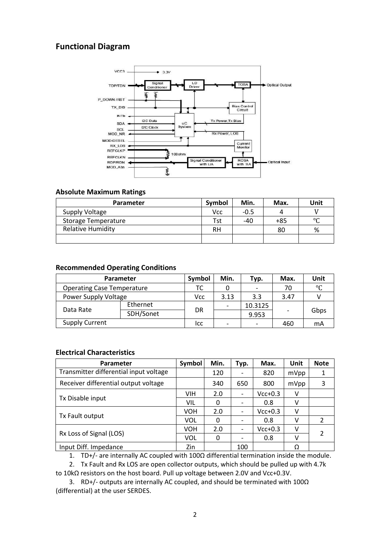# **Functional Diagram**



#### **Absolute Maximum Ratings**

| Parameter                  | Symbol | Min.   | Max. | Unit    |
|----------------------------|--------|--------|------|---------|
| Supply Voltage             | Vcc    | $-0.5$ | 4    |         |
| <b>Storage Temperature</b> | Tst    | $-40$  | +85  | $\circ$ |
| <b>Relative Humidity</b>   | RH     |        | 80   | %       |
|                            |        |        |      |         |

#### **Recommended Operating Conditions**

| <b>Parameter</b>                  | Symbol    | Min. | Тур. | Max.    | Unit                     |      |
|-----------------------------------|-----------|------|------|---------|--------------------------|------|
| <b>Operating Case Temperature</b> | TC        |      |      | 70      | $\circ$                  |      |
| Power Supply Voltage              |           | Vcc  | 3.13 | 3.3     | 3.47                     |      |
| Data Rate                         | Ethernet  |      |      | 10.3125 |                          |      |
|                                   | SDH/Sonet | DR   |      | 9.953   | $\overline{\phantom{0}}$ | Gbps |
| <b>Supply Current</b>             |           | lcc  |      |         | 460                      | mA   |

#### **Electrical Characteristics**

| <b>Parameter</b>                       | Symbol     | Min. | Typ. | Max.      | Unit | <b>Note</b>   |
|----------------------------------------|------------|------|------|-----------|------|---------------|
| Transmitter differential input voltage |            | 120  |      | 820       | mVpp |               |
| Receiver differential output voltage   |            | 340  | 650  | 800       | mVpp | 3             |
|                                        | VIH        | 2.0  |      | $Vcc+0.3$ | v    |               |
| Tx Disable input                       | VIL        | 0    |      | 0.8       | v    |               |
|                                        | <b>VOH</b> | 2.0  |      | $Vcc+0.3$ | v    |               |
| Tx Fault output                        | <b>VOL</b> | 0    |      | 0.8       | ٧    | $\mathcal{P}$ |
|                                        | <b>VOH</b> | 2.0  |      | $Vcc+0.3$ | v    |               |
| Rx Loss of Signal (LOS)                | <b>VOL</b> | 0    |      | 0.8       | v    | 2             |
| Input Diff. Impedance                  | Zin        |      | 100  |           | Ω    |               |

1. TD+/- are internally AC coupled with 100Ω differential termination inside the module.

2. Tx Fault and Rx LOS are open collector outputs, which should be pulled up with 4.7k to 10kΩ resistors on the host board. Pull up voltage between 2.0V and Vcc+0.3V.

3. RD+/- outputs are internally AC coupled, and should be terminated with 100Ω (differential) at the user SERDES.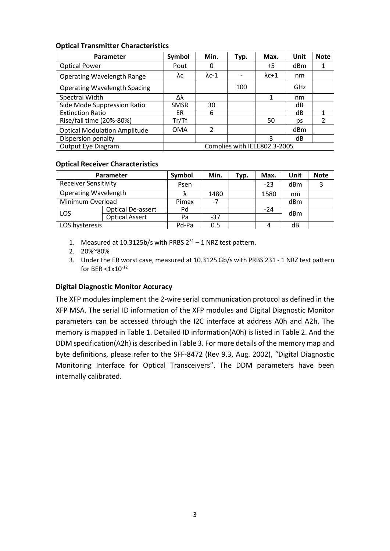#### **Optical Transmitter Characteristics**

| <b>Parameter</b>                    | Symbol                       | Min.           | Typ. | Max.          | Unit | <b>Note</b>    |
|-------------------------------------|------------------------------|----------------|------|---------------|------|----------------|
| <b>Optical Power</b>                | Pout                         | 0              |      | $+5$          | dBm  | 1              |
| <b>Operating Wavelength Range</b>   | λc                           | $\lambda$ c-1  |      | $\lambda$ c+1 | nm   |                |
| <b>Operating Wavelength Spacing</b> |                              |                | 100  |               | GHz  |                |
| Spectral Width                      | Δλ                           |                |      |               | nm   |                |
| Side Mode Suppression Ratio         | <b>SMSR</b>                  | 30             |      |               | dB   |                |
| <b>Extinction Ratio</b>             | ER                           | 6              |      |               | dB   | 1              |
| Rise/fall time (20%-80%)            | Tr/Tf                        |                |      | 50            | ps   | $\overline{2}$ |
| <b>Optical Modulation Amplitude</b> | OMA                          | $\mathfrak{p}$ |      |               | dBm  |                |
| Dispersion penalty                  |                              |                |      | 3             | dB   |                |
| <b>Output Eye Diagram</b>           | Complies with IEEE802.3-2005 |                |      |               |      |                |

#### **Optical Receiver Characteristics**

| <b>Parameter</b>            | Symbol                | Min.  | Typ.  | Max. | Unit  | <b>Note</b>     |  |
|-----------------------------|-----------------------|-------|-------|------|-------|-----------------|--|
| <b>Receiver Sensitivity</b> |                       | Psen  |       |      | $-23$ | dBm             |  |
| <b>Operating Wavelength</b> |                       |       | 1480  |      | 1580  | nm              |  |
| Minimum Overload            |                       | Pimax | -7    |      |       | dB <sub>m</sub> |  |
| LOS                         | Optical De-assert     | Pd    |       |      | $-24$ | dBm             |  |
|                             | <b>Optical Assert</b> | Pa    | $-37$ |      |       |                 |  |
| LOS hysteresis              |                       | Pd-Pa | 0.5   |      |       | dB              |  |

- 1. Measured at 10.3125b/s with PRBS  $2^{31} 1$  NRZ test pattern.
- 2. 20%~80%
- 3. Under the ER worst case, measured at 10.3125 Gb/s with PRBS 231 1 NRZ test pattern for BER <1x10-12

#### **Digital Diagnostic Monitor Accuracy**

The XFP modules implement the 2-wire serial communication protocol as defined in the XFP MSA. The serial ID information of the XFP modules and Digital Diagnostic Monitor parameters can be accessed through the I2C interface at address A0h and A2h. The memory is mapped in Table 1. Detailed ID information(A0h) is listed in Table 2. And the DDM specification(A2h) is described in Table 3. For more details of the memory map and byte definitions, please refer to the SFF-8472 (Rev 9.3, Aug. 2002), "Digital Diagnostic Monitoring Interface for Optical Transceivers". The DDM parameters have been internally calibrated.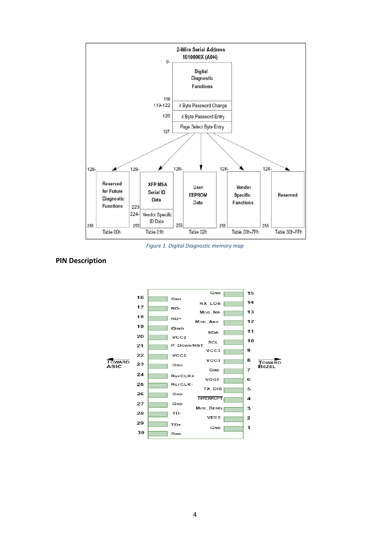

*Figure 1. Digital Diagnostic memory map*



#### **PIN Description**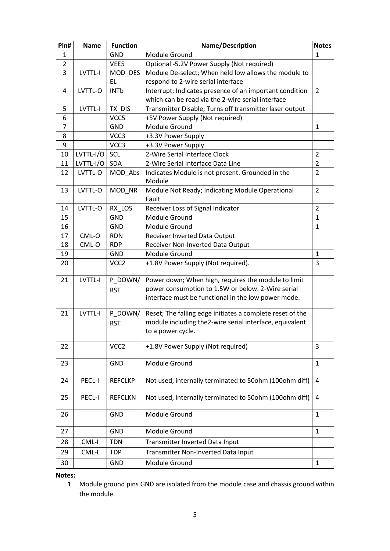| Pin#           | <b>Name</b> | <b>Function</b>  | Name/Description                                           | <b>Notes</b>   |
|----------------|-------------|------------------|------------------------------------------------------------|----------------|
| 1              |             | <b>GND</b>       | Module Ground                                              | $\mathbf{1}$   |
| $\overline{2}$ |             | VEE5             | Optional -5.2V Power Supply (Not required)                 |                |
| 3              | LVTTL-I     | MOD_DES          | Module De-select; When held low allows the module to       |                |
|                |             | EL               | respond to 2-wire serial interface                         |                |
| 4              | LVTTL-O     | <b>INTb</b>      | Interrupt; Indicates presence of an important condition    | 2              |
|                |             |                  | which can be read via the 2-wire serial interface          |                |
| 5              | LVTTL-I     | TX DIS           | Transmitter Disable; Turns off transmitter laser output    |                |
| 6              |             | VCC5             | +5V Power Supply (Not required)                            |                |
| $\overline{7}$ |             | <b>GND</b>       | Module Ground                                              | $\mathbf{1}$   |
| 8              |             | VCC3             | +3.3V Power Supply                                         |                |
| 9              |             | VCC3             | +3.3V Power Supply                                         |                |
| 10             | LVTTL-I/O   | SCL              | 2-Wire Serial Interface Clock                              | $\overline{2}$ |
| 11             | LVTTL-I/O   | <b>SDA</b>       | 2-Wire Serial Interface Data Line                          | $\overline{2}$ |
| 12             | LVTTL-O     | MOD Abs          | Indicates Module is not present. Grounded in the<br>Module | $\overline{2}$ |
| 13             | LVTTL-O     | MOD_NR           | Module Not Ready; Indicating Module Operational<br>Fault   | 2              |
| 14             | LVTTL-O     | RX LOS           | Receiver Loss of Signal Indicator                          | $\overline{2}$ |
| 15             |             | <b>GND</b>       | Module Ground                                              | $\mathbf{1}$   |
| 16             |             | <b>GND</b>       | Module Ground                                              | $\mathbf{1}$   |
| 17             | CML-O       | <b>RDN</b>       | Receiver Inverted Data Output                              |                |
| 18             | CML-O       | <b>RDP</b>       | Receiver Non-Inverted Data Output                          |                |
| 19             |             | <b>GND</b>       | Module Ground                                              | $\mathbf{1}$   |
| 20             |             | VCC <sub>2</sub> | +1.8V Power Supply (Not required).                         | 3              |
| 21             | LVTTL-I     | P_DOWN/          | Power down; When high, requires the module to limit        |                |
|                |             | <b>RST</b>       | power consumption to 1.5W or below. 2-Wire serial          |                |
|                |             |                  | interface must be functional in the low power mode.        |                |
| 21             | LVTTL-I     | P_DOWN/          | Reset; The falling edge initiates a complete reset of the  |                |
|                |             | <b>RST</b>       | module including the2-wire serial interface, equivalent    |                |
|                |             |                  | to a power cycle.                                          |                |
| 22             |             | VCC <sub>2</sub> | +1.8V Power Supply (Not required)                          | 3              |
| 23             |             | <b>GND</b>       | Module Ground                                              | $\mathbf{1}$   |
| 24             | PECL-I      | <b>REFCLKP</b>   | Not used, internally terminated to 50ohm (100ohm diff)     | 4              |
| 25             | PECL-I      | <b>REFCLKN</b>   | Not used, internally terminated to 50ohm (100ohm diff)     | 4              |
| 26             |             | <b>GND</b>       | Module Ground                                              | $\mathbf{1}$   |
| 27             |             | <b>GND</b>       | Module Ground                                              | $\mathbf{1}$   |
| 28             | CML-I       | <b>TDN</b>       | Transmitter Inverted Data Input                            |                |
| 29             | CML-I       | <b>TDP</b>       | Transmitter Non-Inverted Data Input                        |                |
| 30             |             | GND              | Module Ground                                              | $\mathbf{1}$   |
|                |             |                  |                                                            |                |

**Notes:**

<sup>1.</sup> Module ground pins GND are isolated from the module case and chassis ground within the module.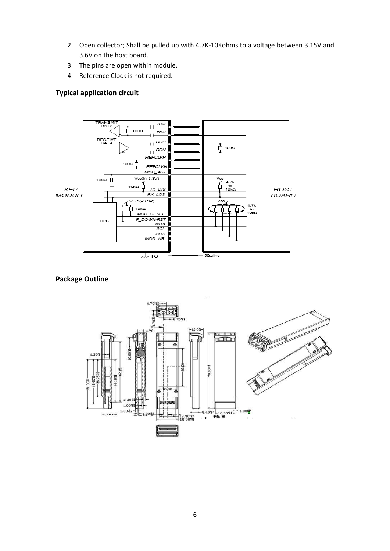- 2. Open collector; Shall be pulled up with 4.7K-10Kohms to a voltage between 3.15V and 3.6V on the host board.
- 3. The pins are open within module.
- 4. Reference Clock is not required.

#### **Typical application circuit**



# **Package Outline**